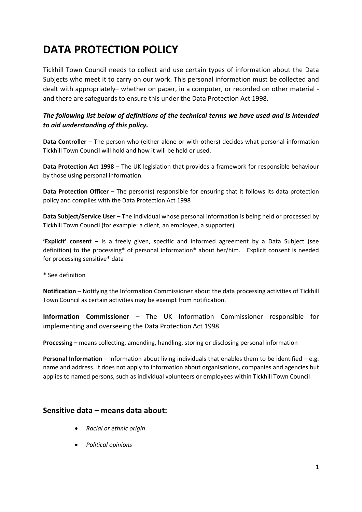# **DATA PROTECTION POLICY**

Tickhill Town Council needs to collect and use certain types of information about the Data Subjects who meet it to carry on our work. This personal information must be collected and dealt with appropriately– whether on paper, in a computer, or recorded on other material and there are safeguards to ensure this under the Data Protection Act 1998.

## *The following list below of definitions of the technical terms we have used and is intended to aid understanding of this policy.*

**Data Controller** – The person who (either alone or with others) decides what personal information Tickhill Town Council will hold and how it will be held or used.

**Data Protection Act 1998** – The UK legislation that provides a framework for responsible behaviour by those using personal information.

**Data Protection Officer** – The person(s) responsible for ensuring that it follows its data protection policy and complies with the Data Protection Act 1998

**Data Subject/Service User** – The individual whose personal information is being held or processed by Tickhill Town Council (for example: a client, an employee, a supporter)

**'Explicit' consent** – is a freely given, specific and informed agreement by a Data Subject (see definition) to the processing\* of personal information\* about her/him. Explicit consent is needed for processing sensitive\* data

\* See definition

**Notification** – Notifying the Information Commissioner about the data processing activities of Tickhill Town Council as certain activities may be exempt from notification.

**Information Commissioner** – The UK Information Commissioner responsible for implementing and overseeing the Data Protection Act 1998.

**Processing –** means collecting, amending, handling, storing or disclosing personal information

**Personal Information** – Information about living individuals that enables them to be identified – e.g. name and address. It does not apply to information about organisations, companies and agencies but applies to named persons, such as individual volunteers or employees within Tickhill Town Council

# **Sensitive data – means data about:**

- *Racial or ethnic origin*
- *Political opinions*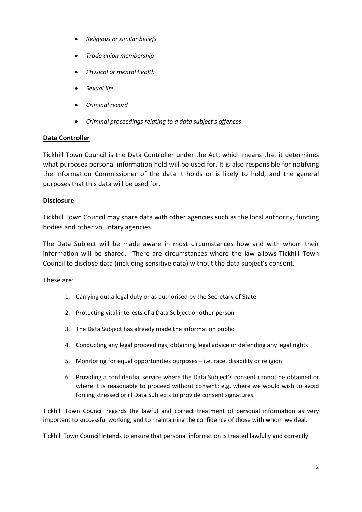- *Religious or similar beliefs*
- *Trade union membership*
- *Physical or mental health*
- *Sexual life*
- *Criminal record*
- *Criminal proceedings relating to a data subject's offences*

### **Data Controller**

Tickhill Town Council is the Data Controller under the Act, which means that it determines what purposes personal information held will be used for. It is also responsible for notifying the Information Commissioner of the data it holds or is likely to hold, and the general purposes that this data will be used for.

#### **Disclosure**

Tickhill Town Council may share data with other agencies such as the local authority, funding bodies and other voluntary agencies.

The Data Subject will be made aware in most circumstances how and with whom their information will be shared. There are circumstances where the law allows Tickhill Town Council to disclose data (including sensitive data) without the data subject's consent.

These are:

- 1. Carrying out a legal duty or as authorised by the Secretary of State
- 2. Protecting vital interests of a Data Subject or other person
- 3. The Data Subject has already made the information public
- 4. Conducting any legal proceedings, obtaining legal advice or defending any legal rights
- 5. Monitoring for equal opportunities purposes i.e. race, disability or religion
- 6. Providing a confidential service where the Data Subject's consent cannot be obtained or where it is reasonable to proceed without consent: e.g. where we would wish to avoid forcing stressed or ill Data Subjects to provide consent signatures.

Tickhill Town Council regards the lawful and correct treatment of personal information as very important to successful working, and to maintaining the confidence of those with whom we deal.

Tickhill Town Council intends to ensure that personal information is treated lawfully and correctly.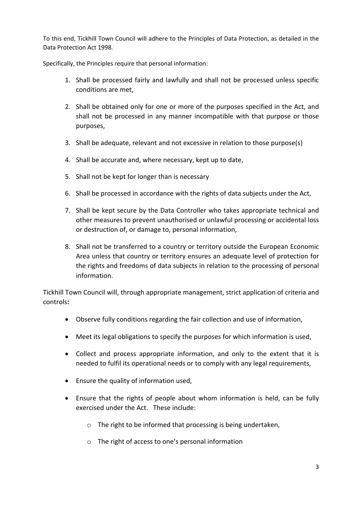To this end, Tickhill Town Council will adhere to the Principles of Data Protection, as detailed in the Data Protection Act 1998.

Specifically, the Principles require that personal information:

- 1. Shall be processed fairly and lawfully and shall not be processed unless specific conditions are met,
- 2. Shall be obtained only for one or more of the purposes specified in the Act, and shall not be processed in any manner incompatible with that purpose or those purposes,
- 3. Shall be adequate, relevant and not excessive in relation to those purpose(s)
- 4. Shall be accurate and, where necessary, kept up to date,
- 5. Shall not be kept for longer than is necessary
- 6. Shall be processed in accordance with the rights of data subjects under the Act,
- 7. Shall be kept secure by the Data Controller who takes appropriate technical and other measures to prevent unauthorised or unlawful processing or accidental loss or destruction of, or damage to, personal information,
- 8. Shall not be transferred to a country or territory outside the European Economic Area unless that country or territory ensures an adequate level of protection for the rights and freedoms of data subjects in relation to the processing of personal information.

Tickhill Town Council will, through appropriate management, strict application of criteria and controls**:**

- Observe fully conditions regarding the fair collection and use of information,
- Meet its legal obligations to specify the purposes for which information is used,
- Collect and process appropriate information, and only to the extent that it is needed to fulfil its operational needs or to comply with any legal requirements,
- Ensure the quality of information used,
- Ensure that the rights of people about whom information is held, can be fully exercised under the Act. These include:
	- o The right to be informed that processing is being undertaken,
	- o The right of access to one's personal information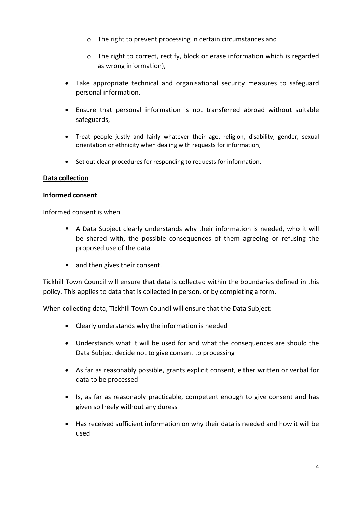- o The right to prevent processing in certain circumstances and
- o The right to correct, rectify, block or erase information which is regarded as wrong information),
- Take appropriate technical and organisational security measures to safeguard personal information,
- Ensure that personal information is not transferred abroad without suitable safeguards,
- Treat people justly and fairly whatever their age, religion, disability, gender, sexual orientation or ethnicity when dealing with requests for information,
- Set out clear procedures for responding to requests for information.

## **Data collection**

#### **Informed consent**

Informed consent is when

- A Data Subject clearly understands why their information is needed, who it will be shared with, the possible consequences of them agreeing or refusing the proposed use of the data
- and then gives their consent.

Tickhill Town Council will ensure that data is collected within the boundaries defined in this policy. This applies to data that is collected in person, or by completing a form.

When collecting data, Tickhill Town Council will ensure that the Data Subject:

- Clearly understands why the information is needed
- Understands what it will be used for and what the consequences are should the Data Subject decide not to give consent to processing
- As far as reasonably possible, grants explicit consent, either written or verbal for data to be processed
- Is, as far as reasonably practicable, competent enough to give consent and has given so freely without any duress
- Has received sufficient information on why their data is needed and how it will be used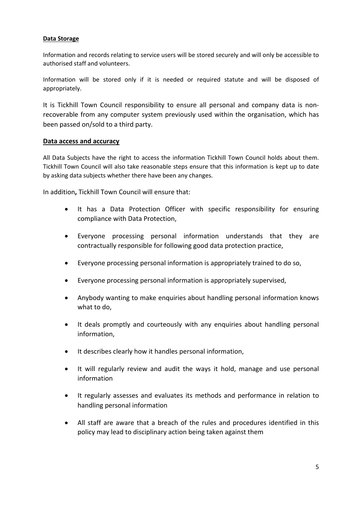#### **Data Storage**

Information and records relating to service users will be stored securely and will only be accessible to authorised staff and volunteers.

Information will be stored only if it is needed or required statute and will be disposed of appropriately.

It is Tickhill Town Council responsibility to ensure all personal and company data is nonrecoverable from any computer system previously used within the organisation, which has been passed on/sold to a third party.

#### **Data access and accuracy**

All Data Subjects have the right to access the information Tickhill Town Council holds about them. Tickhill Town Council will also take reasonable steps ensure that this information is kept up to date by asking data subjects whether there have been any changes.

In addition**,** Tickhill Town Council will ensure that:

- It has a Data Protection Officer with specific responsibility for ensuring compliance with Data Protection,
- Everyone processing personal information understands that they are contractually responsible for following good data protection practice,
- Everyone processing personal information is appropriately trained to do so,
- Everyone processing personal information is appropriately supervised,
- Anybody wanting to make enquiries about handling personal information knows what to do,
- It deals promptly and courteously with any enquiries about handling personal information,
- It describes clearly how it handles personal information,
- It will regularly review and audit the ways it hold, manage and use personal information
- It regularly assesses and evaluates its methods and performance in relation to handling personal information
- All staff are aware that a breach of the rules and procedures identified in this policy may lead to disciplinary action being taken against them